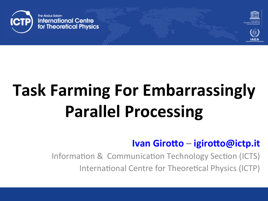

# **Task Farming For Embarrassingly Parallel Processing**

#### Ivan Girotto – igirotto@ictp.it

Information & Communication Technology Section (ICTS)

International Centre for Theoretical Physics (ICTP)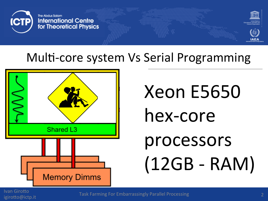

#### Multi-core system Vs Serial Programming



# Xeon E5650 hex-core processors  $(12GB - RAM)$

**Ivan Girotto** igirotto@ictp.it

**Task Farming For Embarrassingly Parallel Processing**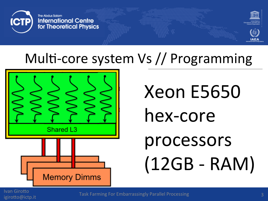



### Multi-core system Vs // Programming



**Xeon E5650** hex-core processors  $(12GB - RAM)$ 

**Ivan Girotto** igirotto@ictp.it

**Task Farming For Embarrassingly Parallel Processing**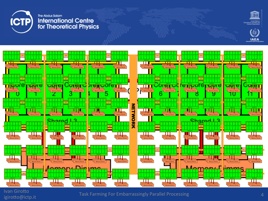

#### The Abdus Salam **International Centre** for Theoretical Physics







**Ivan Girotto** 

ivan Ghotto<br>
igirotto@ictp.it **Task Farming For Embarrassingly Parallel Processing**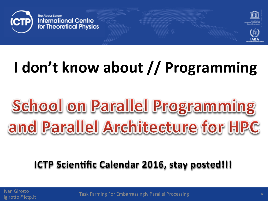



## **I** don't know about // Programming

# School on Parallel Programming and Parallel Architecture for HPC

#### **ICTP Scientific Calendar 2016, stay posted!!!**

Ivan Girotto

ivan Girotto<br>
igirotto@ictp.it **Task Farming For Embarrassingly Parallel Processing**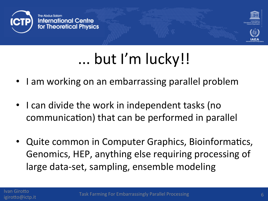



## ... but I'm lucky!!

- I am working on an embarrassing parallel problem
- I can divide the work in independent tasks (no communication) that can be performed in parallel
- Quite common in Computer Graphics, Bioinformatics, Genomics, HEP, anything else requiring processing of large data-set, sampling, ensemble modeling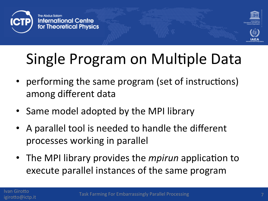



## Single Program on Multiple Data

- performing the same program (set of instructions) among different data
- Same model adopted by the MPI library
- A parallel tool is needed to handle the different processes working in parallel
- The MPI library provides the *mpirun* application to execute parallel instances of the same program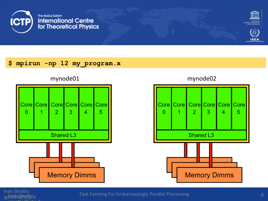



**IAEA** 

#### **\$ mpirun -np 12 my\_program.x**



Ivan Girotto<br>igillodietto.it igiroLo@ictp.it 

igiroLogical Task Farming For Embarrassingly Parallel Processing and Company of Company Research Research Research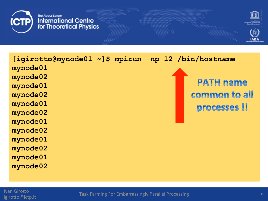The Abdus Salam **International Centre** for Theoretical Physics



**[igirotto@mynode01 ~]\$ mpirun -np 12 /bin/hostname mynode01 mynode02 PATH name mynode01**  common to all **mynode02 mynode01**  processes !! **mynode02 mynode01 mynode02 mynode01 mynode02 mynode01 mynode02** 

**Ivan Girotto** 

igiroLo@ictp.it Task Farming For Embarrassingly Parallel Processing <sup>9</sup>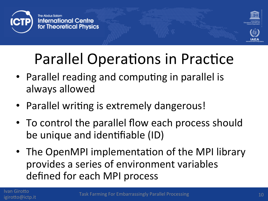

## Parallel Operations in Practice

- Parallel reading and computing in parallel is always allowed
- Parallel writing is extremely dangerous!
- To control the parallel flow each process should be unique and identifiable (ID)
- The OpenMPI implementation of the MPI library provides a series of environment variables defined for each MPI process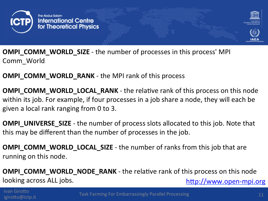

**OMPI COMM WORLD SIZE** - the number of processes in this process' MPI Comm\_World

#### **OMPI\_COMM\_WORLD\_RANK** - the MPI rank of this process

**OMPI\_COMM\_WORLD\_LOCAL\_RANK** - the relative rank of this process on this node within its job. For example, if four processes in a job share a node, they will each be given a local rank ranging from 0 to 3.

**OMPI\_UNIVERSE\_SIZE** - the number of process slots allocated to this job. Note that this may be different than the number of processes in the job.

**OMPI\_COMM\_WORLD\_LOCAL\_SIZE** - the number of ranks from this job that are running on this node.

**OMPI\_COMM\_WORLD\_NODE\_RANK** - the relative rank of this process on this node looking across ALL jobs. http://www.open-mpi.org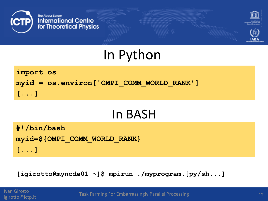



### In Python

import os myid = os.environ['OMPI COMM WORLD RANK']  $[\ldots]$ 

#### In BASH

#!/bin/bash myid=\${OMPI COMM WORLD RANK}  $[\ldots]$ 

[igirotto@mynode01 ~]\$ mpirun ./myprogram.[py/sh...]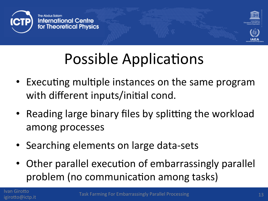

## Possible Applications

- Executing multiple instances on the same program with different inputs/initial cond.
- Reading large binary files by splitting the workload among processes
- Searching elements on large data-sets
- Other parallel execution of embarrassingly parallel problem (no communication among tasks)